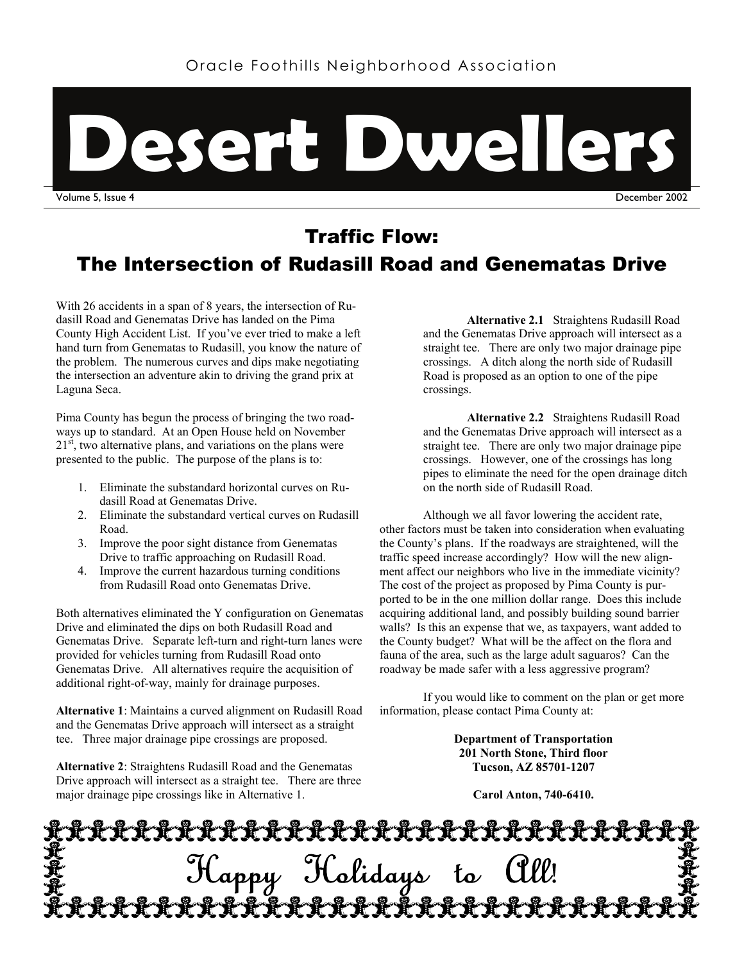

Traffic Flow: The Intersection of Rudasill Road and Genematas Drive

With 26 accidents in a span of 8 years, the intersection of Rudasill Road and Genematas Drive has landed on the Pima County High Accident List. If you've ever tried to make a left hand turn from Genematas to Rudasill, you know the nature of the problem. The numerous curves and dips make negotiating the intersection an adventure akin to driving the grand prix at Laguna Seca.

Pima County has begun the process of bringing the two roadways up to standard. At an Open House held on November  $21<sup>st</sup>$ , two alternative plans, and variations on the plans were presented to the public. The purpose of the plans is to:

- 1. Eliminate the substandard horizontal curves on Rudasill Road at Genematas Drive.
- 2. Eliminate the substandard vertical curves on Rudasill Road.
- 3. Improve the poor sight distance from Genematas Drive to traffic approaching on Rudasill Road.
- 4. Improve the current hazardous turning conditions from Rudasill Road onto Genematas Drive.

Both alternatives eliminated the Y configuration on Genematas Drive and eliminated the dips on both Rudasill Road and Genematas Drive. Separate left-turn and right-turn lanes were provided for vehicles turning from Rudasill Road onto Genematas Drive. All alternatives require the acquisition of additional right-of-way, mainly for drainage purposes.

**Alternative 1**: Maintains a curved alignment on Rudasill Road and the Genematas Drive approach will intersect as a straight tee. Three major drainage pipe crossings are proposed.

**Alternative 2**: Straightens Rudasill Road and the Genematas Drive approach will intersect as a straight tee. There are three major drainage pipe crossings like in Alternative 1.

**Alternative 2.1** Straightens Rudasill Road and the Genematas Drive approach will intersect as a straight tee. There are only two major drainage pipe crossings. A ditch along the north side of Rudasill Road is proposed as an option to one of the pipe crossings.

**Alternative 2.2** Straightens Rudasill Road and the Genematas Drive approach will intersect as a straight tee. There are only two major drainage pipe crossings. However, one of the crossings has long pipes to eliminate the need for the open drainage ditch on the north side of Rudasill Road.

Although we all favor lowering the accident rate, other factors must be taken into consideration when evaluating the County's plans. If the roadways are straightened, will the traffic speed increase accordingly? How will the new alignment affect our neighbors who live in the immediate vicinity? The cost of the project as proposed by Pima County is purported to be in the one million dollar range. Does this include acquiring additional land, and possibly building sound barrier walls? Is this an expense that we, as taxpayers, want added to the County budget? What will be the affect on the flora and fauna of the area, such as the large adult saguaros? Can the roadway be made safer with a less aggressive program?

If you would like to comment on the plan or get more information, please contact Pima County at:

> **Department of Transportation 201 North Stone, Third floor Tucson, AZ 85701-1207**

**Carol Anton, 740-6410.**

Happy Holidays to All!<br>\*\*\*\*\*\*\*\*\*\*\*\*\*\*\*\*\*\*\*\*\*\*\*\*\*\*\*\*\*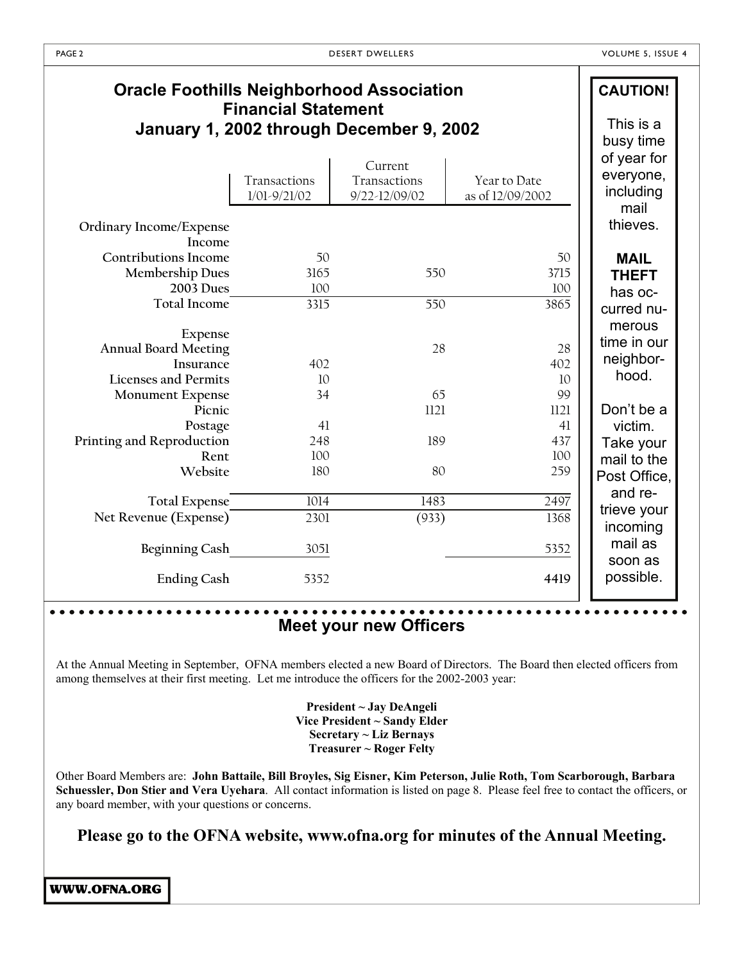Τ

| <b>Financial Statement</b><br>January 1, 2002 through December 9, 2002<br>Current<br>Transactions<br>Transactions<br>Year to Date<br>including<br>as of 12/09/2002<br>$1/01 - 9/21/02$<br>9/22-12/09/02<br>mail<br>Ordinary Income/Expense<br>Income<br><b>Contributions Income</b><br>50<br>50<br><b>MAIL</b><br><b>Membership Dues</b><br>3165<br>3715<br>550<br><b>THEFT</b><br>2003 Dues<br>100<br>100<br>has oc-<br>Total Income<br>550<br>3865<br>3315<br>curred nu-<br>Expense<br>time in our<br><b>Annual Board Meeting</b><br>28<br>28<br>neighbor-<br>Insurance<br>402<br>402<br>hood.<br><b>Licenses and Permits</b><br>10<br>10<br>99<br>34<br>65<br><b>Monument Expense</b><br>Don't be a<br>1121<br>Picnic<br>1121<br>victim.<br>Postage<br>41<br>41<br>248<br>189<br>437<br>Printing and Reproduction<br>Rent<br>100<br>100<br>Website<br>80<br>180<br>259<br>and re-<br><b>Total Expense</b><br>1014<br>1483<br>2497<br>trieve your<br>Net Revenue (Expense)<br>(933)<br>1368<br>2301<br>incoming<br>mail as<br>Beginning Cash<br>3051<br>5352 | <b>Oracle Foothills Neighborhood Association</b> |      |      | <b>CAUTION!</b>                       |
|----------------------------------------------------------------------------------------------------------------------------------------------------------------------------------------------------------------------------------------------------------------------------------------------------------------------------------------------------------------------------------------------------------------------------------------------------------------------------------------------------------------------------------------------------------------------------------------------------------------------------------------------------------------------------------------------------------------------------------------------------------------------------------------------------------------------------------------------------------------------------------------------------------------------------------------------------------------------------------------------------------------------------------------------------------------|--------------------------------------------------|------|------|---------------------------------------|
|                                                                                                                                                                                                                                                                                                                                                                                                                                                                                                                                                                                                                                                                                                                                                                                                                                                                                                                                                                                                                                                                |                                                  |      |      | This is a<br>busy time<br>of year for |
|                                                                                                                                                                                                                                                                                                                                                                                                                                                                                                                                                                                                                                                                                                                                                                                                                                                                                                                                                                                                                                                                |                                                  |      |      | everyone,                             |
|                                                                                                                                                                                                                                                                                                                                                                                                                                                                                                                                                                                                                                                                                                                                                                                                                                                                                                                                                                                                                                                                |                                                  |      |      |                                       |
|                                                                                                                                                                                                                                                                                                                                                                                                                                                                                                                                                                                                                                                                                                                                                                                                                                                                                                                                                                                                                                                                |                                                  |      |      | thieves.                              |
|                                                                                                                                                                                                                                                                                                                                                                                                                                                                                                                                                                                                                                                                                                                                                                                                                                                                                                                                                                                                                                                                |                                                  |      |      |                                       |
|                                                                                                                                                                                                                                                                                                                                                                                                                                                                                                                                                                                                                                                                                                                                                                                                                                                                                                                                                                                                                                                                |                                                  |      |      |                                       |
|                                                                                                                                                                                                                                                                                                                                                                                                                                                                                                                                                                                                                                                                                                                                                                                                                                                                                                                                                                                                                                                                |                                                  |      |      |                                       |
|                                                                                                                                                                                                                                                                                                                                                                                                                                                                                                                                                                                                                                                                                                                                                                                                                                                                                                                                                                                                                                                                |                                                  |      |      |                                       |
|                                                                                                                                                                                                                                                                                                                                                                                                                                                                                                                                                                                                                                                                                                                                                                                                                                                                                                                                                                                                                                                                |                                                  |      |      | merous                                |
|                                                                                                                                                                                                                                                                                                                                                                                                                                                                                                                                                                                                                                                                                                                                                                                                                                                                                                                                                                                                                                                                |                                                  |      |      |                                       |
|                                                                                                                                                                                                                                                                                                                                                                                                                                                                                                                                                                                                                                                                                                                                                                                                                                                                                                                                                                                                                                                                |                                                  |      |      |                                       |
|                                                                                                                                                                                                                                                                                                                                                                                                                                                                                                                                                                                                                                                                                                                                                                                                                                                                                                                                                                                                                                                                |                                                  |      |      |                                       |
|                                                                                                                                                                                                                                                                                                                                                                                                                                                                                                                                                                                                                                                                                                                                                                                                                                                                                                                                                                                                                                                                |                                                  |      |      |                                       |
|                                                                                                                                                                                                                                                                                                                                                                                                                                                                                                                                                                                                                                                                                                                                                                                                                                                                                                                                                                                                                                                                |                                                  |      |      |                                       |
|                                                                                                                                                                                                                                                                                                                                                                                                                                                                                                                                                                                                                                                                                                                                                                                                                                                                                                                                                                                                                                                                |                                                  |      |      |                                       |
|                                                                                                                                                                                                                                                                                                                                                                                                                                                                                                                                                                                                                                                                                                                                                                                                                                                                                                                                                                                                                                                                |                                                  |      |      | Take your                             |
|                                                                                                                                                                                                                                                                                                                                                                                                                                                                                                                                                                                                                                                                                                                                                                                                                                                                                                                                                                                                                                                                |                                                  |      |      | mail to the                           |
|                                                                                                                                                                                                                                                                                                                                                                                                                                                                                                                                                                                                                                                                                                                                                                                                                                                                                                                                                                                                                                                                |                                                  |      |      | Post Office,                          |
|                                                                                                                                                                                                                                                                                                                                                                                                                                                                                                                                                                                                                                                                                                                                                                                                                                                                                                                                                                                                                                                                |                                                  |      |      |                                       |
|                                                                                                                                                                                                                                                                                                                                                                                                                                                                                                                                                                                                                                                                                                                                                                                                                                                                                                                                                                                                                                                                |                                                  |      |      |                                       |
|                                                                                                                                                                                                                                                                                                                                                                                                                                                                                                                                                                                                                                                                                                                                                                                                                                                                                                                                                                                                                                                                |                                                  |      |      | soon as                               |
|                                                                                                                                                                                                                                                                                                                                                                                                                                                                                                                                                                                                                                                                                                                                                                                                                                                                                                                                                                                                                                                                | <b>Ending Cash</b>                               | 5352 | 4419 | possible.                             |

### **Meet your new Officers**

At the Annual Meeting in September, OFNA members elected a new Board of Directors. The Board then elected officers from among themselves at their first meeting. Let me introduce the officers for the 2002-2003 year:

> **President ~ Jay DeAngeli Vice President ~ Sandy Elder Secretary ~ Liz Bernays Treasurer ~ Roger Felty**

Other Board Members are: **John Battaile, Bill Broyles, Sig Eisner, Kim Peterson, Julie Roth, Tom Scarborough, Barbara Schuessler, Don Stier and Vera Uyehara**. All contact information is listed on page 8. Please feel free to contact the officers, or any board member, with your questions or concerns.

**Please go to the OFNA website, www.ofna.org for minutes of the Annual Meeting.**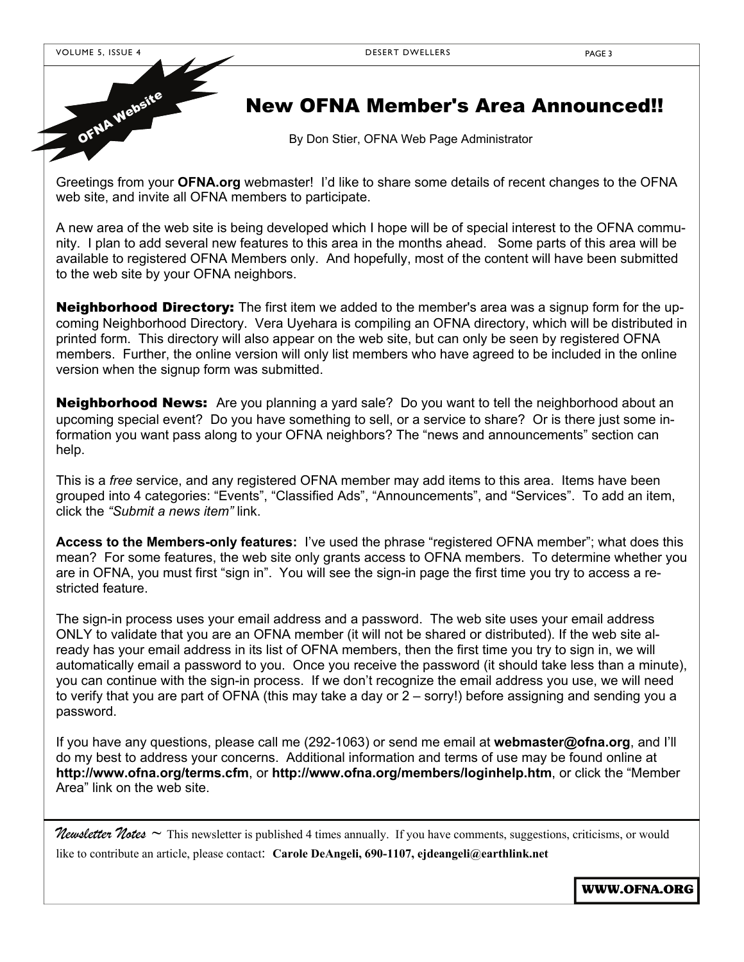

OFNA Website

# New OFNA Member's Area Announced!!

By Don Stier, OFNA Web Page Administrator

Greetings from your **OFNA.org** webmaster! I'd like to share some details of recent changes to the OFNA web site, and invite all OFNA members to participate.

A new area of the web site is being developed which I hope will be of special interest to the OFNA community. I plan to add several new features to this area in the months ahead. Some parts of this area will be available to registered OFNA Members only. And hopefully, most of the content will have been submitted to the web site by your OFNA neighbors.

Neighborhood Directory: The first item we added to the member's area was a signup form for the upcoming Neighborhood Directory. Vera Uyehara is compiling an OFNA directory, which will be distributed in printed form. This directory will also appear on the web site, but can only be seen by registered OFNA members. Further, the online version will only list members who have agreed to be included in the online version when the signup form was submitted.

**Neighborhood News:** Are you planning a yard sale? Do you want to tell the neighborhood about an upcoming special event? Do you have something to sell, or a service to share? Or is there just some information you want pass along to your OFNA neighbors? The "news and announcements" section can help.

This is a *free* service, and any registered OFNA member may add items to this area. Items have been grouped into 4 categories: "Events", "Classified Ads", "Announcements", and "Services". To add an item, click the *"Submit a news item"* link.

**Access to the Members-only features:** I've used the phrase "registered OFNA member"; what does this mean? For some features, the web site only grants access to OFNA members. To determine whether you are in OFNA, you must first "sign in". You will see the sign-in page the first time you try to access a restricted feature.

The sign-in process uses your email address and a password. The web site uses your email address ONLY to validate that you are an OFNA member (it will not be shared or distributed). If the web site already has your email address in its list of OFNA members, then the first time you try to sign in, we will automatically email a password to you. Once you receive the password (it should take less than a minute), you can continue with the sign-in process. If we don't recognize the email address you use, we will need to verify that you are part of OFNA (this may take a day or 2 – sorry!) before assigning and sending you a password.

If you have any questions, please call me (292-1063) or send me email at **webmaster@ofna.org**, and I'll do my best to address your concerns. Additional information and terms of use may be found online at **http://www.ofna.org/terms.cfm**, or **http://www.ofna.org/members/loginhelp.htm**, or click the "Member Area" link on the web site.

*Newsletter Notes ~* This newsletter is published 4 times annually. If you have comments, suggestions, criticisms, or would

like to contribute an article, please contact: **Carole DeAngeli, 690-1107, ejdeangeli@earthlink.net**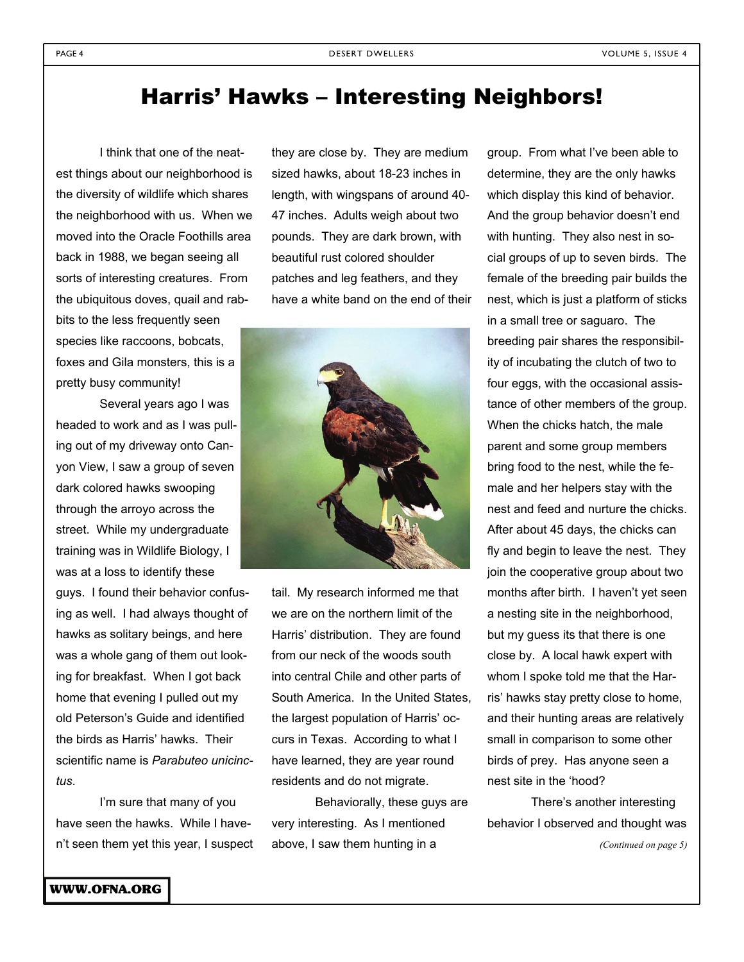# Harris' Hawks – Interesting Neighbors!

 I think that one of the neatest things about our neighborhood is the diversity of wildlife which shares the neighborhood with us. When we moved into the Oracle Foothills area back in 1988, we began seeing all sorts of interesting creatures. From the ubiquitous doves, quail and rabbits to the less frequently seen species like raccoons, bobcats, foxes and Gila monsters, this is a pretty busy community!

 Several years ago I was headed to work and as I was pulling out of my driveway onto Canyon View, I saw a group of seven dark colored hawks swooping through the arroyo across the street. While my undergraduate training was in Wildlife Biology, I was at a loss to identify these

guys. I found their behavior confusing as well. I had always thought of hawks as solitary beings, and here was a whole gang of them out looking for breakfast. When I got back home that evening I pulled out my old Peterson's Guide and identified the birds as Harris' hawks. Their scientific name is *Parabuteo unicinctus*.

 I'm sure that many of you have seen the hawks. While I haven't seen them yet this year, I suspect they are close by. They are medium sized hawks, about 18-23 inches in length, with wingspans of around 40- 47 inches. Adults weigh about two pounds. They are dark brown, with beautiful rust colored shoulder patches and leg feathers, and they have a white band on the end of their



tail. My research informed me that we are on the northern limit of the Harris' distribution. They are found from our neck of the woods south into central Chile and other parts of South America. In the United States, the largest population of Harris' occurs in Texas. According to what I have learned, they are year round residents and do not migrate.

 Behaviorally, these guys are very interesting. As I mentioned above, I saw them hunting in a

group. From what I've been able to determine, they are the only hawks which display this kind of behavior. And the group behavior doesn't end with hunting. They also nest in social groups of up to seven birds. The female of the breeding pair builds the nest, which is just a platform of sticks in a small tree or saguaro. The breeding pair shares the responsibility of incubating the clutch of two to four eggs, with the occasional assistance of other members of the group. When the chicks hatch, the male parent and some group members bring food to the nest, while the female and her helpers stay with the nest and feed and nurture the chicks. After about 45 days, the chicks can fly and begin to leave the nest. They join the cooperative group about two months after birth. I haven't yet seen a nesting site in the neighborhood, but my guess its that there is one close by. A local hawk expert with whom I spoke told me that the Harris' hawks stay pretty close to home, and their hunting areas are relatively small in comparison to some other birds of prey. Has anyone seen a nest site in the 'hood?

 There's another interesting behavior I observed and thought was

*(Continued on page 5)*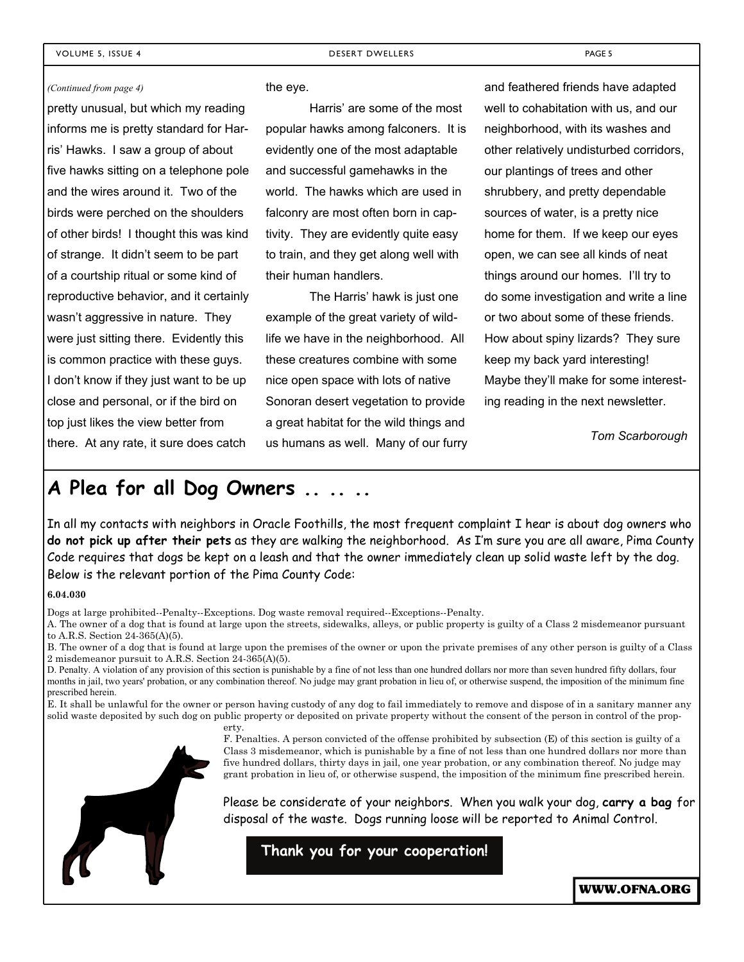#### *(Continued from page 4)*

pretty unusual, but which my reading informs me is pretty standard for Harris' Hawks. I saw a group of about five hawks sitting on a telephone pole and the wires around it. Two of the birds were perched on the shoulders of other birds! I thought this was kind of strange. It didn't seem to be part of a courtship ritual or some kind of reproductive behavior, and it certainly wasn't aggressive in nature. They were just sitting there. Evidently this is common practice with these guys. I don't know if they just want to be up close and personal, or if the bird on top just likes the view better from there. At any rate, it sure does catch

#### the eye.

 Harris' are some of the most popular hawks among falconers. It is evidently one of the most adaptable and successful gamehawks in the world. The hawks which are used in falconry are most often born in captivity. They are evidently quite easy to train, and they get along well with their human handlers.

 The Harris' hawk is just one example of the great variety of wildlife we have in the neighborhood. All these creatures combine with some nice open space with lots of native Sonoran desert vegetation to provide a great habitat for the wild things and us humans as well. Many of our furry

and feathered friends have adapted well to cohabitation with us, and our neighborhood, with its washes and other relatively undisturbed corridors, our plantings of trees and other shrubbery, and pretty dependable sources of water, is a pretty nice home for them. If we keep our eyes open, we can see all kinds of neat things around our homes. I'll try to do some investigation and write a line or two about some of these friends. How about spiny lizards? They sure keep my back yard interesting! Maybe they'll make for some interesting reading in the next newsletter.

*Tom Scarborough* 

### **A Plea for all Dog Owners .. .. ..**

In all my contacts with neighbors in Oracle Foothills, the most frequent complaint I hear is about dog owners who **do not pick up after their pets** as they are walking the neighborhood. As I'm sure you are all aware, Pima County Code requires that dogs be kept on a leash and that the owner immediately clean up solid waste left by the dog. Below is the relevant portion of the Pima County Code:

#### **6.04.030**

Dogs at large prohibited--Penalty--Exceptions. Dog waste removal required--Exceptions--Penalty.

A. The owner of a dog that is found at large upon the streets, sidewalks, alleys, or public property is guilty of a Class 2 misdemeanor pursuant to A.R.S. Section 24-365(A)(5).

B. The owner of a dog that is found at large upon the premises of the owner or upon the private premises of any other person is guilty of a Class 2 misdemeanor pursuit to A.R.S. Section 24-365(A)(5).

D. Penalty. A violation of any provision of this section is punishable by a fine of not less than one hundred dollars nor more than seven hundred fifty dollars, four months in jail, two years' probation, or any combination thereof. No judge may grant probation in lieu of, or otherwise suspend, the imposition of the minimum fine prescribed herein.

E. It shall be unlawful for the owner or person having custody of any dog to fail immediately to remove and dispose of in a sanitary manner any solid waste deposited by such dog on public property or deposited on private property without the consent of the person in control of the property.

> F. Penalties. A person convicted of the offense prohibited by subsection (E) of this section is guilty of a Class 3 misdemeanor, which is punishable by a fine of not less than one hundred dollars nor more than five hundred dollars, thirty days in jail, one year probation, or any combination thereof. No judge may grant probation in lieu of, or otherwise suspend, the imposition of the minimum fine prescribed herein.

Please be considerate of your neighbors. When you walk your dog, **carry a bag** for disposal of the waste. Dogs running loose will be reported to Animal Control.

**Thank you for your cooperation!**

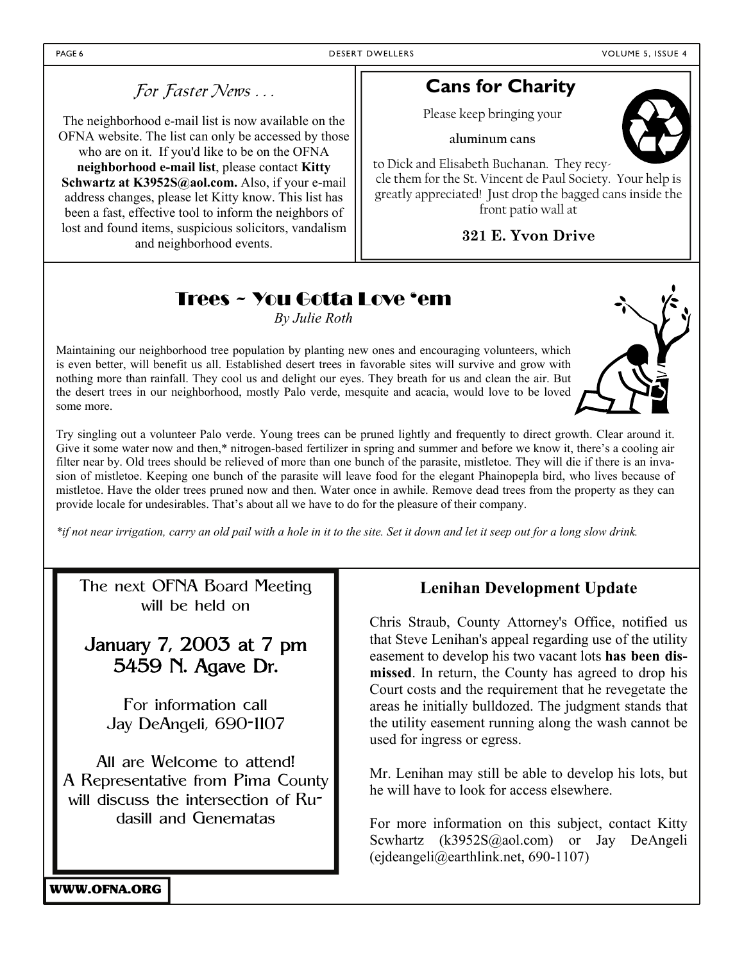### For Faster News . . .

The neighborhood e-mail list is now available on the OFNA website. The list can only be accessed by those who are on it. If you'd like to be on the OFNA **neighborhood e-mail list**, please contact **Kitty Schwartz at K3952S@aol.com.** Also, if your e-mail address changes, please let Kitty know. This list has been a fast, effective tool to inform the neighbors of lost and found items, suspicious solicitors, vandalism and neighborhood events.

### **Cans for Charity**

Please keep bringing your

**aluminum cans** 

to Dick and Elisabeth Buchanan. They recycle them for the St. Vincent de Paul Society. Your help is greatly appreciated! Just drop the bagged cans inside the front patio wall at

**321 E. Yvon Drive** 

# Trees ~ You Gotta Love 'em

*By Julie Roth* 

Maintaining our neighborhood tree population by planting new ones and encouraging volunteers, which is even better, will benefit us all. Established desert trees in favorable sites will survive and grow with nothing more than rainfall. They cool us and delight our eyes. They breath for us and clean the air. But the desert trees in our neighborhood, mostly Palo verde, mesquite and acacia, would love to be loved some more.

Try singling out a volunteer Palo verde. Young trees can be pruned lightly and frequently to direct growth. Clear around it. Give it some water now and then,\* nitrogen-based fertilizer in spring and summer and before we know it, there's a cooling air filter near by. Old trees should be relieved of more than one bunch of the parasite, mistletoe. They will die if there is an invasion of mistletoe. Keeping one bunch of the parasite will leave food for the elegant Phainopepla bird, who lives because of mistletoe. Have the older trees pruned now and then. Water once in awhile. Remove dead trees from the property as they can provide locale for undesirables. That's about all we have to do for the pleasure of their company.

*\*if not near irrigation, carry an old pail with a hole in it to the site. Set it down and let it seep out for a long slow drink.*

The next OFNA Board Meeting will be held on

## January 7, 2003 at 7 pm 5459 N. Agave Dr.

For information call Jay DeAngeli, 690-1107

All are Welcome to attend! A Representative from Pima County will discuss the intersection of Rudasill and Genematas

#### **Lenihan Development Update**

Chris Straub, County Attorney's Office, notified us that Steve Lenihan's appeal regarding use of the utility easement to develop his two vacant lots **has been dismissed**. In return, the County has agreed to drop his Court costs and the requirement that he revegetate the areas he initially bulldozed. The judgment stands that the utility easement running along the wash cannot be used for ingress or egress.

Mr. Lenihan may still be able to develop his lots, but he will have to look for access elsewhere.

For more information on this subject, contact Kitty Scwhartz (k3952S@aol.com) or Jay DeAngeli (ejdeangeli@earthlink.net, 690-1107)

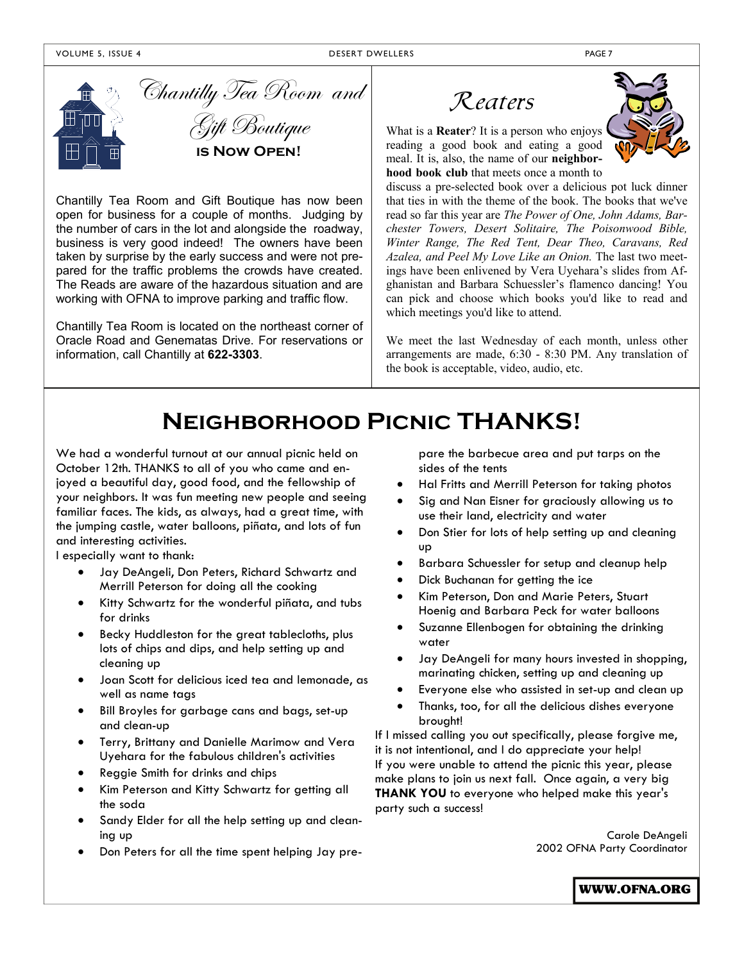

Chantilly Tea Room and Gift Boutique **is Now Open!** 

Chantilly Tea Room and Gift Boutique has now been open for business for a couple of months. Judging by the number of cars in the lot and alongside the roadway, business is very good indeed! The owners have been taken by surprise by the early success and were not prepared for the traffic problems the crowds have created. The Reads are aware of the hazardous situation and are working with OFNA to improve parking and traffic flow.

Chantilly Tea Room is located on the northeast corner of Oracle Road and Genematas Drive. For reservations or information, call Chantilly at **622-3303**.





What is a **Reater**? It is a person who enjoys reading a good book and eating a good meal. It is, also, the name of our **neighborhood book club** that meets once a month to

discuss a pre-selected book over a delicious pot luck dinner that ties in with the theme of the book. The books that we've read so far this year are *The Power of One, John Adams, Barchester Towers, Desert Solitaire, The Poisonwood Bible, Winter Range, The Red Tent, Dear Theo, Caravans, Red Azalea, and Peel My Love Like an Onion.* The last two meetings have been enlivened by Vera Uyehara's slides from Afghanistan and Barbara Schuessler's flamenco dancing! You can pick and choose which books you'd like to read and which meetings you'd like to attend.

We meet the last Wednesday of each month, unless other arrangements are made, 6:30 - 8:30 PM. Any translation of the book is acceptable, video, audio, etc.

# **Neighborhood Picnic THANKS!**

We had a wonderful turnout at our annual picnic held on October 12th. THANKS to all of you who came and enjoyed a beautiful day, good food, and the fellowship of your neighbors. It was fun meeting new people and seeing familiar faces. The kids, as always, had a great time, with the jumping castle, water balloons, piñata, and lots of fun and interesting activities.

I especially want to thank:

- Jay DeAngeli, Don Peters, Richard Schwartz and Merrill Peterson for doing all the cooking
- Kitty Schwartz for the wonderful piñata, and tubs for drinks
- Becky Huddleston for the great tablecloths, plus lots of chips and dips, and help setting up and cleaning up
- Joan Scott for delicious iced tea and lemonade, as well as name tags
- Bill Broyles for garbage cans and bags, set-up and clean-up
- Terry, Brittany and Danielle Marimow and Vera Uyehara for the fabulous children's activities
- Reggie Smith for drinks and chips
- Kim Peterson and Kitty Schwartz for getting all the soda
- Sandy Elder for all the help setting up and cleaning up
- Don Peters for all the time spent helping Jay pre-

pare the barbecue area and put tarps on the sides of the tents

- Hal Fritts and Merrill Peterson for taking photos
- Sig and Nan Eisner for graciously allowing us to use their land, electricity and water
- Don Stier for lots of help setting up and cleaning up
- Barbara Schuessler for setup and cleanup help
- Dick Buchanan for getting the ice
- Kim Peterson, Don and Marie Peters, Stuart Hoenig and Barbara Peck for water balloons
- Suzanne Ellenbogen for obtaining the drinking water
- Jay DeAngeli for many hours invested in shopping, marinating chicken, setting up and cleaning up
- Everyone else who assisted in set-up and clean up
- Thanks, too, for all the delicious dishes everyone brought!

If I missed calling you out specifically, please forgive me, it is not intentional, and I do appreciate your help! If you were unable to attend the picnic this year, please make plans to join us next fall. Once again, a very big **THANK YOU** to everyone who helped make this year's party such a success!

> Carole DeAngeli 2002 OFNA Party Coordinator